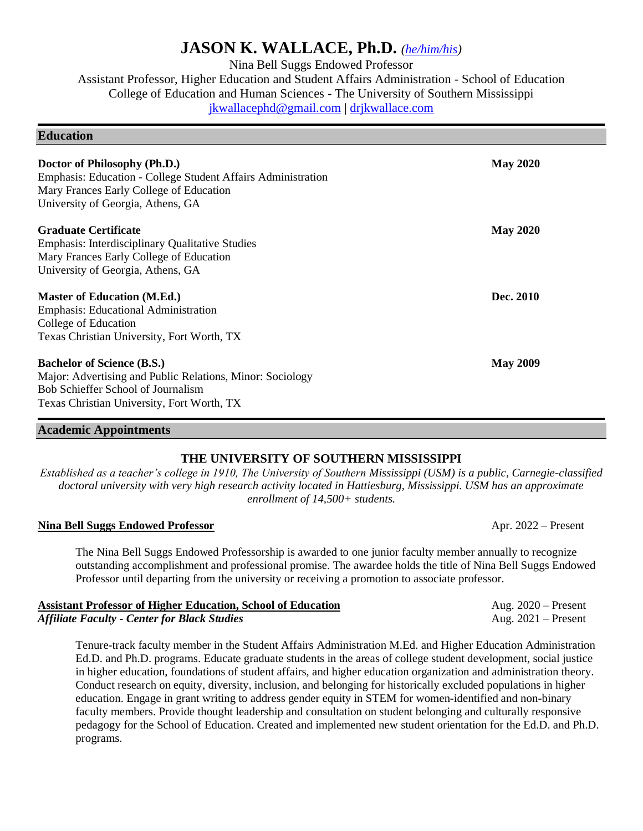# **JASON K. WALLACE, Ph.D.** *[\(he/him/his\)](https://www.mypronouns.org/what-and-why)*

Nina Bell Suggs Endowed Professor Assistant Professor, Higher Education and Student Affairs Administration - School of Education College of Education and Human Sciences - The University of Southern Mississippi [jkwallacephd@gmail.com](mailto:jkwallacephd@gmail.com) | [drjkwallace.com](https://www.drjkwallace.com/)

| Doctor of Philosophy (Ph.D.)<br>Emphasis: Education - College Student Affairs Administration<br>Mary Frances Early College of Education                                            | <b>May 2020</b> |
|------------------------------------------------------------------------------------------------------------------------------------------------------------------------------------|-----------------|
| University of Georgia, Athens, GA                                                                                                                                                  |                 |
| <b>Graduate Certificate</b><br><b>Emphasis: Interdisciplinary Qualitative Studies</b><br>Mary Frances Early College of Education<br>University of Georgia, Athens, GA              | <b>May 2020</b> |
| <b>Master of Education (M.Ed.)</b>                                                                                                                                                 | Dec. 2010       |
| <b>Emphasis: Educational Administration</b>                                                                                                                                        |                 |
| College of Education                                                                                                                                                               |                 |
| Texas Christian University, Fort Worth, TX                                                                                                                                         |                 |
| <b>Bachelor of Science (B.S.)</b><br>Major: Advertising and Public Relations, Minor: Sociology<br>Bob Schieffer School of Journalism<br>Texas Christian University, Fort Worth, TX | <b>May 2009</b> |
|                                                                                                                                                                                    |                 |

#### **Academic Appointments**

**Education**

# **THE UNIVERSITY OF SOUTHERN MISSISSIPPI**

*Established as a teacher's college in 1910, The University of Southern Mississippi (USM) is a public, Carnegie-classified doctoral university with very high research activity located in Hattiesburg, Mississippi. USM has an approximate enrollment of 14,500+ students.*

#### **Nina Bell Suggs Endowed Professor Apr. 2022** – Present

The Nina Bell Suggs Endowed Professorship is awarded to one junior faculty member annually to recognize outstanding accomplishment and professional promise. The awardee holds the title of Nina Bell Suggs Endowed Professor until departing from the university or receiving a promotion to associate professor.

| <b>Assistant Professor of Higher Education, School of Education</b> | Aug. $2020$ – Present |
|---------------------------------------------------------------------|-----------------------|
| <b>Affiliate Faculty - Center for Black Studies</b>                 | Aug. $2021$ – Present |
|                                                                     |                       |

Tenure-track faculty member in the Student Affairs Administration M.Ed. and Higher Education Administration Ed.D. and Ph.D. programs. Educate graduate students in the areas of college student development, social justice in higher education, foundations of student affairs, and higher education organization and administration theory. Conduct research on equity, diversity, inclusion, and belonging for historically excluded populations in higher education. Engage in grant writing to address gender equity in STEM for women-identified and non-binary faculty members. Provide thought leadership and consultation on student belonging and culturally responsive pedagogy for the School of Education. Created and implemented new student orientation for the Ed.D. and Ph.D. programs.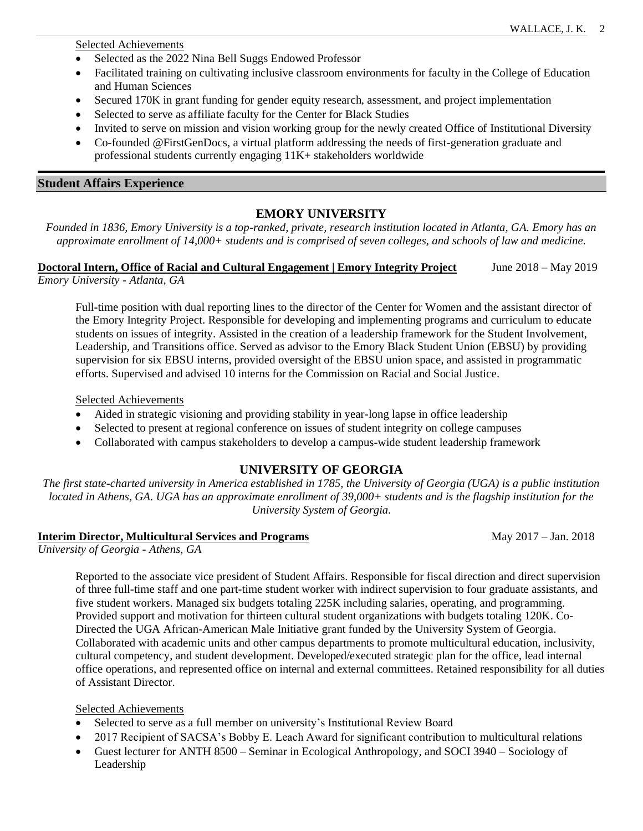Selected Achievements

- Selected as the 2022 Nina Bell Suggs Endowed Professor
- Facilitated training on cultivating inclusive classroom environments for faculty in the College of Education and Human Sciences
- Secured 170K in grant funding for gender equity research, assessment, and project implementation
- Selected to serve as affiliate faculty for the Center for Black Studies
- Invited to serve on mission and vision working group for the newly created Office of Institutional Diversity
- Co-founded @FirstGenDocs, a virtual platform addressing the needs of first-generation graduate and professional students currently engaging 11K+ stakeholders worldwide

#### **Student Affairs Experience**

# **EMORY UNIVERSITY**

*Founded in 1836, Emory University is a top-ranked, private, research institution located in Atlanta, GA. Emory has an approximate enrollment of 14,000+ students and is comprised of seven colleges, and schools of law and medicine.*

#### **Doctoral Intern, Office of Racial and Cultural Engagement | Emory Integrity Project** June 2018 – May 2019 *Emory University - Atlanta, GA*

Full-time position with dual reporting lines to the director of the Center for Women and the assistant director of the Emory Integrity Project. Responsible for developing and implementing programs and curriculum to educate students on issues of integrity. Assisted in the creation of a leadership framework for the Student Involvement, Leadership, and Transitions office. Served as advisor to the Emory Black Student Union (EBSU) by providing supervision for six EBSU interns, provided oversight of the EBSU union space, and assisted in programmatic efforts. Supervised and advised 10 interns for the Commission on Racial and Social Justice.

Selected Achievements

- Aided in strategic visioning and providing stability in year-long lapse in office leadership
- Selected to present at regional conference on issues of student integrity on college campuses
- Collaborated with campus stakeholders to develop a campus-wide student leadership framework

#### **UNIVERSITY OF GEORGIA**

*The first state-charted university in America established in 1785, the University of Georgia (UGA) is a public institution located in Athens, GA. UGA has an approximate enrollment of 39,000+ students and is the flagship institution for the University System of Georgia.*

#### **Interim Director, Multicultural Services and Programs** May 2017 – Jan. 2018

*University of Georgia - Athens, GA*

Reported to the associate vice president of Student Affairs. Responsible for fiscal direction and direct supervision of three full-time staff and one part-time student worker with indirect supervision to four graduate assistants, and five student workers. Managed six budgets totaling 225K including salaries, operating, and programming. Provided support and motivation for thirteen cultural student organizations with budgets totaling 120K. Co-Directed the UGA African-American Male Initiative grant funded by the University System of Georgia. Collaborated with academic units and other campus departments to promote multicultural education, inclusivity, cultural competency, and student development. Developed/executed strategic plan for the office, lead internal office operations, and represented office on internal and external committees. Retained responsibility for all duties of Assistant Director.

#### Selected Achievements

- Selected to serve as a full member on university's Institutional Review Board
- 2017 Recipient of SACSA's Bobby E. Leach Award for significant contribution to multicultural relations
- Guest lecturer for ANTH 8500 Seminar in Ecological Anthropology, and SOCI 3940 Sociology of Leadership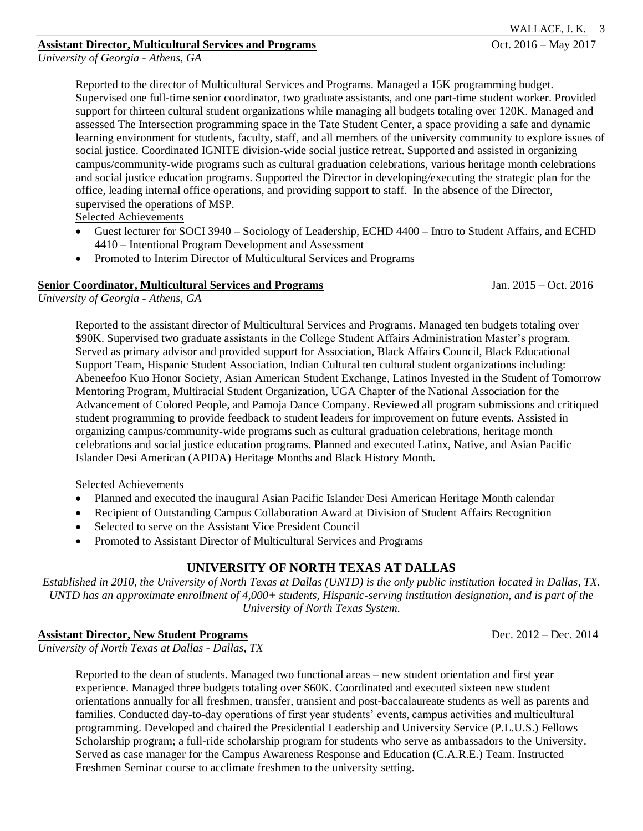#### **Assistant Director, Multicultural Services and Programs**  $\qquad \qquad \text{Oct. } 2016 - \text{May } 2017$

Reported to the director of Multicultural Services and Programs. Managed a 15K programming budget. Supervised one full-time senior coordinator, two graduate assistants, and one part-time student worker. Provided support for thirteen cultural student organizations while managing all budgets totaling over 120K. Managed and assessed The Intersection programming space in the Tate Student Center, a space providing a safe and dynamic learning environment for students, faculty, staff, and all members of the university community to explore issues of social justice. Coordinated IGNITE division-wide social justice retreat. Supported and assisted in organizing campus/community-wide programs such as cultural graduation celebrations, various heritage month celebrations and social justice education programs. Supported the Director in developing/executing the strategic plan for the office, leading internal office operations, and providing support to staff. In the absence of the Director, supervised the operations of MSP.

Selected Achievements

- Guest lecturer for SOCI 3940 Sociology of Leadership, ECHD 4400 Intro to Student Affairs, and ECHD 4410 – Intentional Program Development and Assessment
- Promoted to Interim Director of Multicultural Services and Programs

### **Senior Coordinator, Multicultural Services and Programs**Jan. 2015 – Oct. 2016

*University of Georgia - Athens, GA*

Reported to the assistant director of Multicultural Services and Programs. Managed ten budgets totaling over \$90K. Supervised two graduate assistants in the College Student Affairs Administration Master's program. Served as primary advisor and provided support for Association, Black Affairs Council, Black Educational Support Team, Hispanic Student Association, Indian Cultural ten cultural student organizations including: Abeneefoo Kuo Honor Society, Asian American Student Exchange, Latinos Invested in the Student of Tomorrow Mentoring Program, Multiracial Student Organization, UGA Chapter of the National Association for the Advancement of Colored People, and Pamoja Dance Company. Reviewed all program submissions and critiqued student programming to provide feedback to student leaders for improvement on future events. Assisted in organizing campus/community-wide programs such as cultural graduation celebrations, heritage month celebrations and social justice education programs. Planned and executed Latinx, Native, and Asian Pacific Islander Desi American (APIDA) Heritage Months and Black History Month.

Selected Achievements

- Planned and executed the inaugural Asian Pacific Islander Desi American Heritage Month calendar
- Recipient of Outstanding Campus Collaboration Award at Division of Student Affairs Recognition
- Selected to serve on the Assistant Vice President Council
- Promoted to Assistant Director of Multicultural Services and Programs

# **UNIVERSITY OF NORTH TEXAS AT DALLAS**

*Established in 2010, the University of North Texas at Dallas (UNTD) is the only public institution located in Dallas, TX. UNTD has an approximate enrollment of 4,000+ students, Hispanic-serving institution designation, and is part of the University of North Texas System.*

#### **Assistant Director, New Student Programs** Dec. 2012 – Dec. 2014

*University of North Texas at Dallas - Dallas, TX*

Reported to the dean of students. Managed two functional areas – new student orientation and first year experience. Managed three budgets totaling over \$60K. Coordinated and executed sixteen new student orientations annually for all freshmen, transfer, transient and post-baccalaureate students as well as parents and families. Conducted day-to-day operations of first year students' events, campus activities and multicultural programming. Developed and chaired the Presidential Leadership and University Service (P.L.U.S.) Fellows Scholarship program; a full-ride scholarship program for students who serve as ambassadors to the University. Served as case manager for the Campus Awareness Response and Education (C.A.R.E.) Team. Instructed Freshmen Seminar course to acclimate freshmen to the university setting.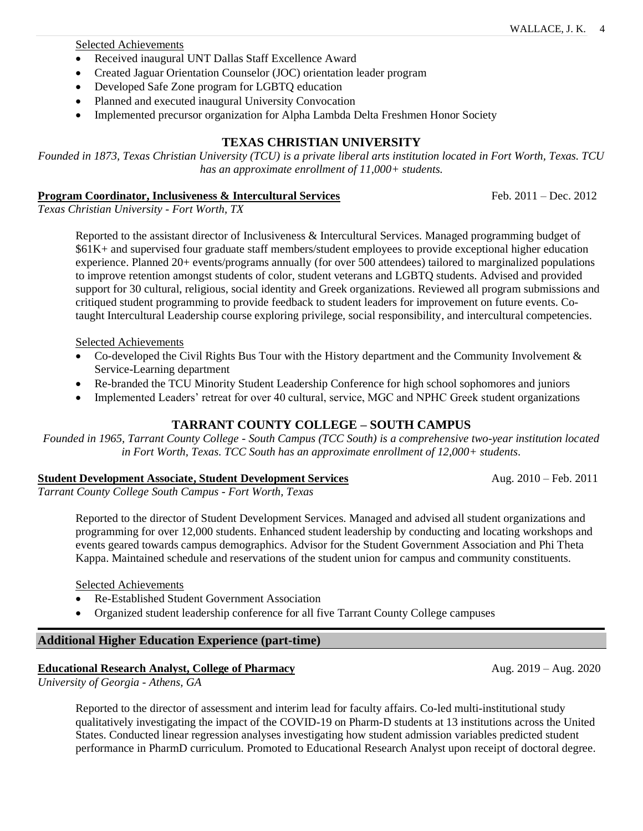Selected Achievements

- Received inaugural UNT Dallas Staff Excellence Award
- Created Jaguar Orientation Counselor (JOC) orientation leader program
- Developed Safe Zone program for LGBTQ education
- Planned and executed inaugural University Convocation
- Implemented precursor organization for Alpha Lambda Delta Freshmen Honor Society

# **TEXAS CHRISTIAN UNIVERSITY**

*Founded in 1873, Texas Christian University (TCU) is a private liberal arts institution located in Fort Worth, Texas. TCU has an approximate enrollment of 11,000+ students.*

#### **Program Coordinator, Inclusiveness & Intercultural Services** Feb. 2011 – Dec. 2012

*Texas Christian University - Fort Worth, TX* 

Reported to the assistant director of Inclusiveness & Intercultural Services. Managed programming budget of \$61K+ and supervised four graduate staff members/student employees to provide exceptional higher education experience. Planned 20+ events/programs annually (for over 500 attendees) tailored to marginalized populations to improve retention amongst students of color, student veterans and LGBTQ students. Advised and provided support for 30 cultural, religious, social identity and Greek organizations. Reviewed all program submissions and critiqued student programming to provide feedback to student leaders for improvement on future events. Cotaught Intercultural Leadership course exploring privilege, social responsibility, and intercultural competencies.

Selected Achievements

- Co-developed the Civil Rights Bus Tour with the History department and the Community Involvement & Service-Learning department
- Re-branded the TCU Minority Student Leadership Conference for high school sophomores and juniors
- Implemented Leaders' retreat for over 40 cultural, service, MGC and NPHC Greek student organizations

# **TARRANT COUNTY COLLEGE – SOUTH CAMPUS**

*Founded in 1965, Tarrant County College - South Campus (TCC South) is a comprehensive two-year institution located in Fort Worth, Texas. TCC South has an approximate enrollment of 12,000+ students.*

#### **Student Development Associate, Student Development Services** Aug. 2010 – Feb. 2011

*Tarrant County College South Campus - Fort Worth, Texas* 

Reported to the director of Student Development Services. Managed and advised all student organizations and programming for over 12,000 students. Enhanced student leadership by conducting and locating workshops and events geared towards campus demographics. Advisor for the Student Government Association and Phi Theta Kappa. Maintained schedule and reservations of the student union for campus and community constituents.

Selected Achievements

- Re-Established Student Government Association
- Organized student leadership conference for all five Tarrant County College campuses

# **Additional Higher Education Experience (part-time)**

### **Educational Research Analyst, College of Pharmacy** Aug. 2019 – Aug. 2020

*University of Georgia - Athens, GA*

Reported to the director of assessment and interim lead for faculty affairs. Co-led multi-institutional study qualitatively investigating the impact of the COVID-19 on Pharm-D students at 13 institutions across the United States. Conducted linear regression analyses investigating how student admission variables predicted student performance in PharmD curriculum. Promoted to Educational Research Analyst upon receipt of doctoral degree.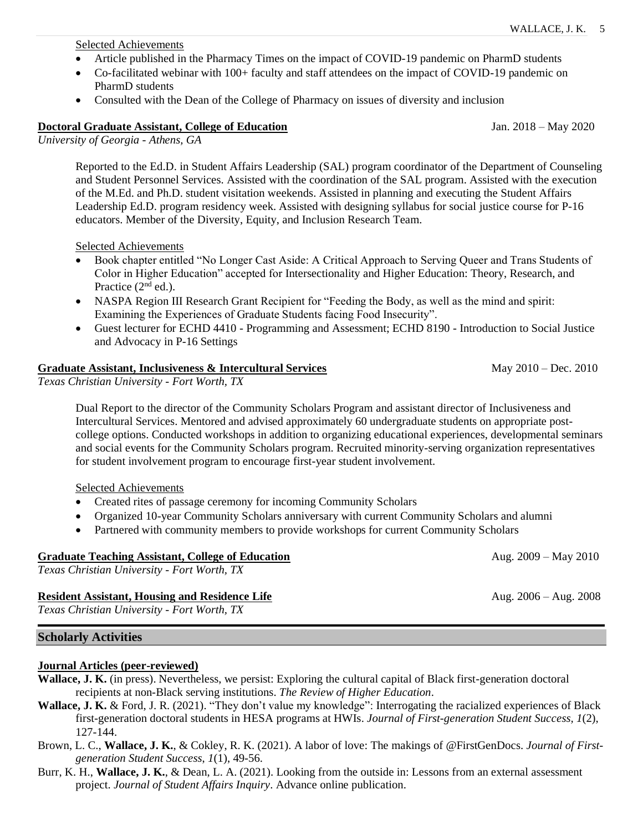Selected Achievements

- Article published in the Pharmacy Times on the impact of COVID-19 pandemic on PharmD students
- Co-facilitated webinar with 100+ faculty and staff attendees on the impact of COVID-19 pandemic on PharmD students
- Consulted with the Dean of the College of Pharmacy on issues of diversity and inclusion

#### **Doctoral Graduate Assistant, College of Education** Jan. 2018 – May 2020

*University of Georgia - Athens, GA*

Reported to the Ed.D. in Student Affairs Leadership (SAL) program coordinator of the Department of Counseling and Student Personnel Services. Assisted with the coordination of the SAL program. Assisted with the execution of the M.Ed. and Ph.D. student visitation weekends. Assisted in planning and executing the Student Affairs Leadership Ed.D. program residency week. Assisted with designing syllabus for social justice course for P-16 educators. Member of the Diversity, Equity, and Inclusion Research Team.

Selected Achievements

- Book chapter entitled "No Longer Cast Aside: A Critical Approach to Serving Queer and Trans Students of Color in Higher Education" accepted for Intersectionality and Higher Education: Theory, Research, and Practice  $(2<sup>nd</sup>$  ed.).
- NASPA Region III Research Grant Recipient for "Feeding the Body, as well as the mind and spirit: Examining the Experiences of Graduate Students facing Food Insecurity".
- Guest lecturer for ECHD 4410 Programming and Assessment; ECHD 8190 Introduction to Social Justice and Advocacy in P-16 Settings

#### **Graduate Assistant, Inclusiveness & Intercultural Services** May 2010 – Dec. 2010

*Texas Christian University - Fort Worth, TX*

Dual Report to the director of the Community Scholars Program and assistant director of Inclusiveness and Intercultural Services. Mentored and advised approximately 60 undergraduate students on appropriate postcollege options. Conducted workshops in addition to organizing educational experiences, developmental seminars and social events for the Community Scholars program. Recruited minority-serving organization representatives for student involvement program to encourage first-year student involvement.

Selected Achievements

- Created rites of passage ceremony for incoming Community Scholars
- Organized 10-year Community Scholars anniversary with current Community Scholars and alumni
- Partnered with community members to provide workshops for current Community Scholars

#### **Graduate Teaching Assistant, College of Education** Aug. 2009 – May 2010

*Texas Christian University - Fort Worth, TX*

#### **Resident Assistant, Housing and Residence Life Aug. 2006 – Aug. 2008** Aug. 2008

*Texas Christian University - Fort Worth, TX*

#### **Scholarly Activities**

#### **Journal Articles (peer-reviewed)**

- **Wallace, J. K.** (in press). Nevertheless, we persist: Exploring the cultural capital of Black first-generation doctoral recipients at non-Black serving institutions. *The Review of Higher Education*.
- **Wallace, J. K.** & Ford, J. R. (2021). "They don't value my knowledge": Interrogating the racialized experiences of Black first-generation doctoral students in HESA programs at HWIs. *Journal of First-generation Student Success, 1*(2), 127-144.
- Brown, L. C., **Wallace, J. K.**, & Cokley, R. K. (2021). A labor of love: The makings of @FirstGenDocs. *Journal of Firstgeneration Student Success*, *1*(1), 49-56.
- Burr, K. H., **Wallace, J. K.**, & Dean, L. A. (2021). Looking from the outside in: Lessons from an external assessment project. *Journal of Student Affairs Inquiry*. Advance online publication.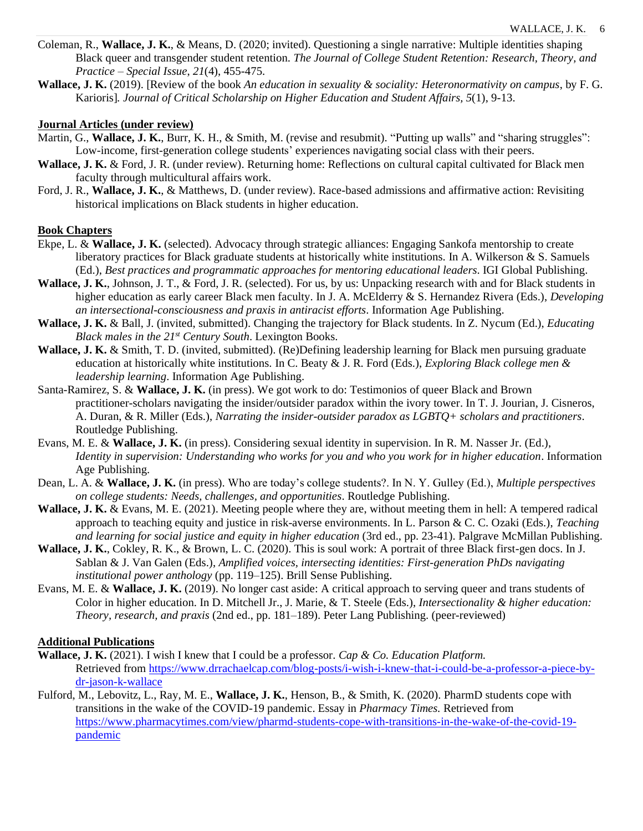- Coleman, R., **Wallace, J. K.**, & Means, D. (2020; invited). Questioning a single narrative: Multiple identities shaping Black queer and transgender student retention. *The Journal of College Student Retention: Research, Theory, and Practice – Special Issue*, *21*(4), 455-475.
- **Wallace, J. K.** (2019). [Review of the book *An education in sexuality & sociality: Heteronormativity on campus*, by F. G. Karioris]*. Journal of Critical Scholarship on Higher Education and Student Affairs, 5*(1), 9-13.

#### **Journal Articles (under review)**

- Martin, G., **Wallace, J. K.**, Burr, K. H., & Smith, M. (revise and resubmit). "Putting up walls" and "sharing struggles": Low-income, first-generation college students' experiences navigating social class with their peers.
- **Wallace, J. K.** & Ford, J. R. (under review). Returning home: Reflections on cultural capital cultivated for Black men faculty through multicultural affairs work.
- Ford, J. R., **Wallace, J. K.**, & Matthews, D. (under review). Race-based admissions and affirmative action: Revisiting historical implications on Black students in higher education.

#### **Book Chapters**

- Ekpe, L. & **Wallace, J. K.** (selected). Advocacy through strategic alliances: Engaging Sankofa mentorship to create liberatory practices for Black graduate students at historically white institutions. In A. Wilkerson & S. Samuels (Ed.), *Best practices and programmatic approaches for mentoring educational leaders*. IGI Global Publishing.
- **Wallace, J. K.**, Johnson, J. T., & Ford, J. R. (selected). For us, by us: Unpacking research with and for Black students in higher education as early career Black men faculty. In J. A. McElderry & S. Hernandez Rivera (Eds.), *Developing an intersectional-consciousness and praxis in antiracist efforts*. Information Age Publishing.
- **Wallace, J. K.** & Ball, J. (invited, submitted). Changing the trajectory for Black students. In Z. Nycum (Ed.), *Educating Black males in the 21st Century South*. Lexington Books.
- **Wallace, J. K.** & Smith, T. D. (invited, submitted). (Re)Defining leadership learning for Black men pursuing graduate education at historically white institutions. In C. Beaty & J. R. Ford (Eds.), *Exploring Black college men & leadership learning*. Information Age Publishing.
- Santa-Ramirez, S. & **Wallace, J. K.** (in press). We got work to do: Testimonios of queer Black and Brown practitioner-scholars navigating the insider/outsider paradox within the ivory tower. In T. J. Jourian, J. Cisneros, A. Duran, & R. Miller (Eds.), *Narrating the insider-outsider paradox as LGBTQ+ scholars and practitioners*. Routledge Publishing.
- Evans, M. E. & **Wallace, J. K.** (in press). Considering sexual identity in supervision. In R. M. Nasser Jr. (Ed.), *Identity in supervision: Understanding who works for you and who you work for in higher education*. Information Age Publishing.
- Dean, L. A. & **Wallace, J. K.** (in press). Who are today's college students?. In N. Y. Gulley (Ed.), *Multiple perspectives on college students: Needs, challenges, and opportunities*. Routledge Publishing.
- **Wallace, J. K.** & Evans, M. E. (2021). Meeting people where they are, without meeting them in hell: A tempered radical approach to teaching equity and justice in risk-averse environments. In L. Parson & C. C. Ozaki (Eds.), *Teaching and learning for social justice and equity in higher education* (3rd ed., pp. 23-41). Palgrave McMillan Publishing.
- **Wallace, J. K.**, Cokley, R. K., & Brown, L. C. (2020). This is soul work: A portrait of three Black first-gen docs. In J. Sablan & J. Van Galen (Eds.), *Amplified voices, intersecting identities: First-generation PhDs navigating institutional power anthology* (pp. 119–125). Brill Sense Publishing.
- Evans, M. E. & **Wallace, J. K.** (2019). No longer cast aside: A critical approach to serving queer and trans students of Color in higher education. In D. Mitchell Jr., J. Marie, & T. Steele (Eds.), *Intersectionality & higher education: Theory, research, and praxis* (2nd ed., pp. 181–189). Peter Lang Publishing. (peer-reviewed)

### **Additional Publications**

- **Wallace, J. K.** (2021). I wish I knew that I could be a professor. *Cap & Co. Education Platform.* Retrieved fro[m https://www.drrachaelcap.com/blog-posts/i-wish-i-knew-that-i-could-be-a-professor-a-piece-by](https://www.drrachaelcap.com/blog-posts/i-wish-i-knew-that-i-could-be-a-professor-a-piece-by-dr-jason-k-wallace)[dr-jason-k-wallace](https://www.drrachaelcap.com/blog-posts/i-wish-i-knew-that-i-could-be-a-professor-a-piece-by-dr-jason-k-wallace)
- Fulford, M., Lebovitz, L., Ray, M. E., **Wallace, J. K.**, Henson, B., & Smith, K. (2020). PharmD students cope with transitions in the wake of the COVID-19 pandemic. Essay in *Pharmacy Times.* Retrieved from [https://www.pharmacytimes.com/view/pharmd-students-cope-with-transitions-in-the-wake-of-the-covid-19](https://www.pharmacytimes.com/view/pharmd-students-cope-with-transitions-in-the-wake-of-the-covid-19-pandemic) [pandemic](https://www.pharmacytimes.com/view/pharmd-students-cope-with-transitions-in-the-wake-of-the-covid-19-pandemic)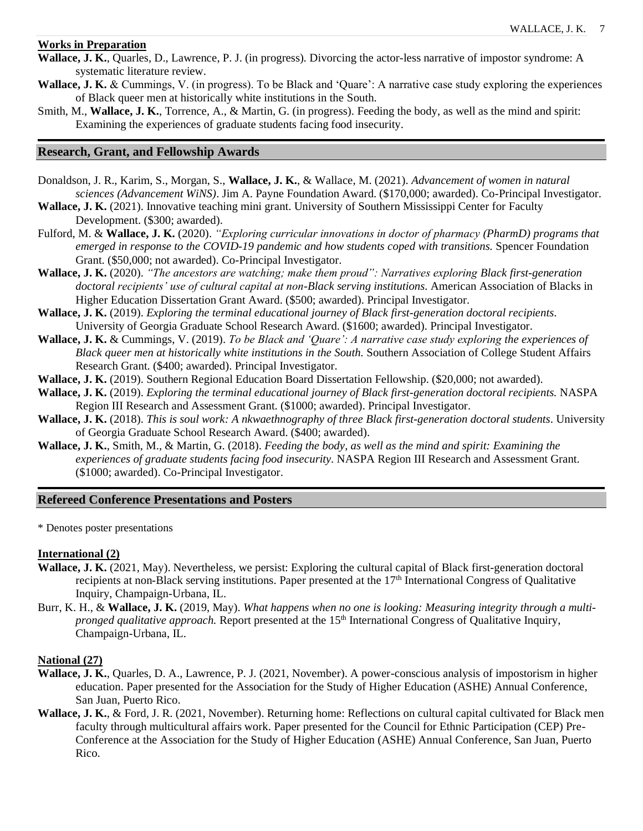#### **Works in Preparation**

- **Wallace, J. K.**, Quarles, D., Lawrence, P. J. (in progress). Divorcing the actor-less narrative of impostor syndrome: A systematic literature review.
- **Wallace, J. K.** & Cummings, V. (in progress). To be Black and 'Quare': A narrative case study exploring the experiences of Black queer men at historically white institutions in the South.
- Smith, M., **Wallace, J. K.**, Torrence, A., & Martin, G. (in progress). Feeding the body, as well as the mind and spirit: Examining the experiences of graduate students facing food insecurity.

#### **Research, Grant, and Fellowship Awards**

- Donaldson, J. R., Karim, S., Morgan, S., **Wallace, J. K.**, & Wallace, M. (2021). *Advancement of women in natural sciences (Advancement WiNS)*. Jim A. Payne Foundation Award. (\$170,000; awarded). Co-Principal Investigator.
- **Wallace, J. K.** (2021). Innovative teaching mini grant. University of Southern Mississippi Center for Faculty Development. (\$300; awarded).
- Fulford, M. & **Wallace, J. K.** (2020). *"Exploring curricular innovations in doctor of pharmacy (PharmD) programs that emerged in response to the COVID-19 pandemic and how students coped with transitions.* Spencer Foundation Grant. (\$50,000; not awarded). Co-Principal Investigator.
- **Wallace, J. K.** (2020). *"The ancestors are watching; make them proud": Narratives exploring Black first-generation doctoral recipients' use of cultural capital at non-Black serving institutions*. American Association of Blacks in Higher Education Dissertation Grant Award. (\$500; awarded). Principal Investigator.
- **Wallace, J. K.** (2019). *Exploring the terminal educational journey of Black first-generation doctoral recipients*. University of Georgia Graduate School Research Award. (\$1600; awarded). Principal Investigator.
- **Wallace, J. K.** & Cummings, V. (2019). *To be Black and 'Quare': A narrative case study exploring the experiences of Black queer men at historically white institutions in the South.* Southern Association of College Student Affairs Research Grant. (\$400; awarded). Principal Investigator.
- **Wallace, J. K.** (2019). Southern Regional Education Board Dissertation Fellowship. (\$20,000; not awarded).
- **Wallace, J. K.** (2019). *Exploring the terminal educational journey of Black first-generation doctoral recipients.* NASPA Region III Research and Assessment Grant. (\$1000; awarded). Principal Investigator.
- **Wallace, J. K.** (2018). *This is soul work: A nkwaethnography of three Black first-generation doctoral students*. University of Georgia Graduate School Research Award. (\$400; awarded).
- **Wallace, J. K.**, Smith, M., & Martin, G. (2018). *Feeding the body, as well as the mind and spirit: Examining the experiences of graduate students facing food insecurity.* NASPA Region III Research and Assessment Grant. (\$1000; awarded). Co-Principal Investigator.

#### **Refereed Conference Presentations and Posters**

\* Denotes poster presentations

#### **International (2)**

- **Wallace, J. K.** (2021, May). Nevertheless, we persist: Exploring the cultural capital of Black first-generation doctoral recipients at non-Black serving institutions. Paper presented at the  $17<sup>th</sup>$  International Congress of Qualitative Inquiry, Champaign-Urbana, IL.
- Burr, K. H., & **Wallace, J. K.** (2019, May). *What happens when no one is looking: Measuring integrity through a multipronged qualitative approach.* Report presented at the 15<sup>th</sup> International Congress of Qualitative Inquiry, Champaign-Urbana, IL.

#### **National (27)**

- **Wallace, J. K.**, Quarles, D. A., Lawrence, P. J. (2021, November). A power-conscious analysis of impostorism in higher education. Paper presented for the Association for the Study of Higher Education (ASHE) Annual Conference, San Juan, Puerto Rico.
- **Wallace, J. K.**, & Ford, J. R. (2021, November). Returning home: Reflections on cultural capital cultivated for Black men faculty through multicultural affairs work. Paper presented for the Council for Ethnic Participation (CEP) Pre-Conference at the Association for the Study of Higher Education (ASHE) Annual Conference, San Juan, Puerto Rico.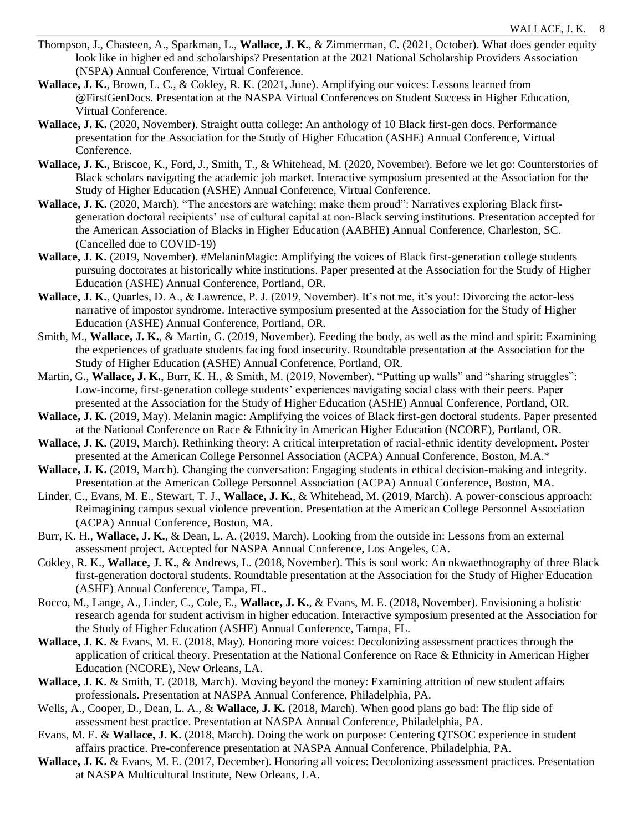- Thompson, J., Chasteen, A., Sparkman, L., **Wallace, J. K.**, & Zimmerman, C. (2021, October). What does gender equity look like in higher ed and scholarships? Presentation at the 2021 National Scholarship Providers Association (NSPA) Annual Conference, Virtual Conference.
- **Wallace, J. K.**, Brown, L. C., & Cokley, R. K. (2021, June). Amplifying our voices: Lessons learned from @FirstGenDocs. Presentation at the NASPA Virtual Conferences on Student Success in Higher Education, Virtual Conference.
- **Wallace, J. K.** (2020, November). Straight outta college: An anthology of 10 Black first-gen docs. Performance presentation for the Association for the Study of Higher Education (ASHE) Annual Conference, Virtual Conference.
- **Wallace, J. K.**, Briscoe, K., Ford, J., Smith, T., & Whitehead, M. (2020, November). Before we let go: Counterstories of Black scholars navigating the academic job market. Interactive symposium presented at the Association for the Study of Higher Education (ASHE) Annual Conference, Virtual Conference.
- **Wallace, J. K.** (2020, March). "The ancestors are watching; make them proud": Narratives exploring Black firstgeneration doctoral recipients' use of cultural capital at non-Black serving institutions. Presentation accepted for the American Association of Blacks in Higher Education (AABHE) Annual Conference, Charleston, SC. (Cancelled due to COVID-19)
- **Wallace, J. K.** (2019, November). #MelaninMagic: Amplifying the voices of Black first-generation college students pursuing doctorates at historically white institutions. Paper presented at the Association for the Study of Higher Education (ASHE) Annual Conference, Portland, OR.
- **Wallace, J. K.**, Quarles, D. A., & Lawrence, P. J. (2019, November). It's not me, it's you!: Divorcing the actor-less narrative of impostor syndrome. Interactive symposium presented at the Association for the Study of Higher Education (ASHE) Annual Conference, Portland, OR.
- Smith, M., **Wallace, J. K.**, & Martin, G. (2019, November). Feeding the body, as well as the mind and spirit: Examining the experiences of graduate students facing food insecurity. Roundtable presentation at the Association for the Study of Higher Education (ASHE) Annual Conference, Portland, OR.
- Martin, G., Wallace, J. K., Burr, K. H., & Smith, M. (2019, November). "Putting up walls" and "sharing struggles": Low-income, first-generation college students' experiences navigating social class with their peers. Paper presented at the Association for the Study of Higher Education (ASHE) Annual Conference, Portland, OR.
- **Wallace, J. K.** (2019, May). Melanin magic: Amplifying the voices of Black first-gen doctoral students. Paper presented at the National Conference on Race & Ethnicity in American Higher Education (NCORE), Portland, OR.
- **Wallace, J. K.** (2019, March). Rethinking theory: A critical interpretation of racial-ethnic identity development. Poster presented at the American College Personnel Association (ACPA) Annual Conference, Boston, M.A.\*
- **Wallace, J. K.** (2019, March). Changing the conversation: Engaging students in ethical decision-making and integrity. Presentation at the American College Personnel Association (ACPA) Annual Conference, Boston, MA.
- Linder, C., Evans, M. E., Stewart, T. J., **Wallace, J. K.**, & Whitehead, M. (2019, March). A power-conscious approach: Reimagining campus sexual violence prevention. Presentation at the American College Personnel Association (ACPA) Annual Conference, Boston, MA.
- Burr, K. H., **Wallace, J. K.**, & Dean, L. A. (2019, March). Looking from the outside in: Lessons from an external assessment project. Accepted for NASPA Annual Conference, Los Angeles, CA.
- Cokley, R. K., **Wallace, J. K.**, & Andrews, L. (2018, November). This is soul work: An nkwaethnography of three Black first-generation doctoral students. Roundtable presentation at the Association for the Study of Higher Education (ASHE) Annual Conference, Tampa, FL.
- Rocco, M., Lange, A., Linder, C., Cole, E., **Wallace, J. K.**, & Evans, M. E. (2018, November). Envisioning a holistic research agenda for student activism in higher education. Interactive symposium presented at the Association for the Study of Higher Education (ASHE) Annual Conference, Tampa, FL.
- **Wallace, J. K.** & Evans, M. E. (2018, May). Honoring more voices: Decolonizing assessment practices through the application of critical theory. Presentation at the National Conference on Race & Ethnicity in American Higher Education (NCORE), New Orleans, LA.
- **Wallace, J. K.** & Smith, T. (2018, March). Moving beyond the money: Examining attrition of new student affairs professionals. Presentation at NASPA Annual Conference, Philadelphia, PA.
- Wells, A., Cooper, D., Dean, L. A., & **Wallace, J. K.** (2018, March). When good plans go bad: The flip side of assessment best practice. Presentation at NASPA Annual Conference, Philadelphia, PA.
- Evans, M. E. & **Wallace, J. K.** (2018, March). Doing the work on purpose: Centering QTSOC experience in student affairs practice. Pre-conference presentation at NASPA Annual Conference, Philadelphia, PA.
- **Wallace, J. K.** & Evans, M. E. (2017, December). Honoring all voices: Decolonizing assessment practices. Presentation at NASPA Multicultural Institute, New Orleans, LA.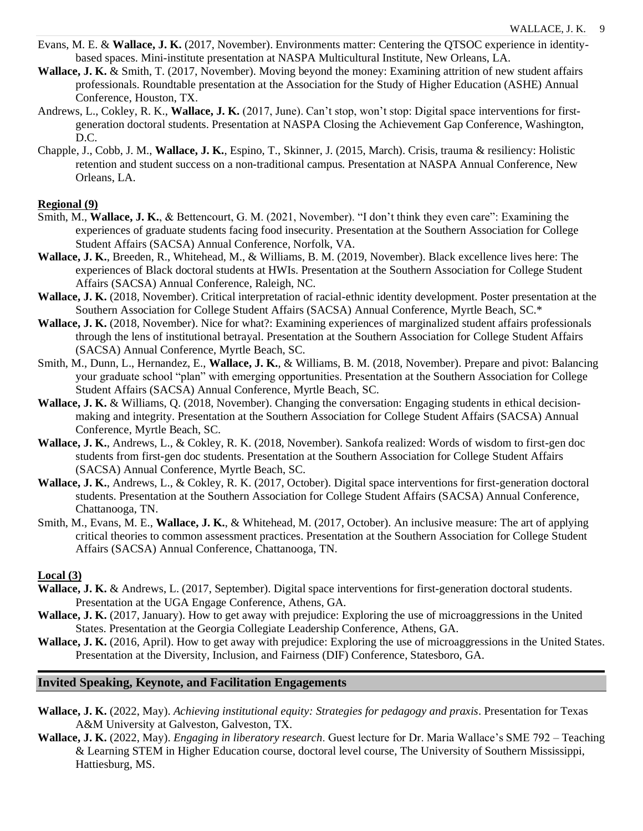- Evans, M. E. & **Wallace, J. K.** (2017, November). Environments matter: Centering the QTSOC experience in identitybased spaces. Mini-institute presentation at NASPA Multicultural Institute, New Orleans, LA.
- **Wallace, J. K.** & Smith, T. (2017, November). Moving beyond the money: Examining attrition of new student affairs professionals. Roundtable presentation at the Association for the Study of Higher Education (ASHE) Annual Conference, Houston, TX.
- Andrews, L., Cokley, R. K., **Wallace, J. K.** (2017, June). Can't stop, won't stop: Digital space interventions for firstgeneration doctoral students. Presentation at NASPA Closing the Achievement Gap Conference, Washington, D.C.
- Chapple, J., Cobb, J. M., **Wallace, J. K.**, Espino, T., Skinner, J. (2015, March). Crisis, trauma & resiliency: Holistic retention and student success on a non-traditional campus. Presentation at NASPA Annual Conference, New Orleans, LA.

#### **Regional (9)**

- Smith, M., **Wallace, J. K.**, & Bettencourt, G. M. (2021, November). "I don't think they even care": Examining the experiences of graduate students facing food insecurity. Presentation at the Southern Association for College Student Affairs (SACSA) Annual Conference, Norfolk, VA.
- **Wallace, J. K.**, Breeden, R., Whitehead, M., & Williams, B. M. (2019, November). Black excellence lives here: The experiences of Black doctoral students at HWIs. Presentation at the Southern Association for College Student Affairs (SACSA) Annual Conference, Raleigh, NC.
- **Wallace, J. K.** (2018, November). Critical interpretation of racial-ethnic identity development. Poster presentation at the Southern Association for College Student Affairs (SACSA) Annual Conference, Myrtle Beach, SC.\*
- **Wallace, J. K.** (2018, November). Nice for what?: Examining experiences of marginalized student affairs professionals through the lens of institutional betrayal. Presentation at the Southern Association for College Student Affairs (SACSA) Annual Conference, Myrtle Beach, SC.
- Smith, M., Dunn, L., Hernandez, E., **Wallace, J. K.**, & Williams, B. M. (2018, November). Prepare and pivot: Balancing your graduate school "plan" with emerging opportunities. Presentation at the Southern Association for College Student Affairs (SACSA) Annual Conference, Myrtle Beach, SC.
- **Wallace, J. K.** & Williams, Q. (2018, November). Changing the conversation: Engaging students in ethical decisionmaking and integrity. Presentation at the Southern Association for College Student Affairs (SACSA) Annual Conference, Myrtle Beach, SC.
- **Wallace, J. K.**, Andrews, L., & Cokley, R. K. (2018, November). Sankofa realized: Words of wisdom to first-gen doc students from first-gen doc students. Presentation at the Southern Association for College Student Affairs (SACSA) Annual Conference, Myrtle Beach, SC.
- **Wallace, J. K.**, Andrews, L., & Cokley, R. K. (2017, October). Digital space interventions for first-generation doctoral students. Presentation at the Southern Association for College Student Affairs (SACSA) Annual Conference, Chattanooga, TN.
- Smith, M., Evans, M. E., **Wallace, J. K.**, & Whitehead, M. (2017, October). An inclusive measure: The art of applying critical theories to common assessment practices. Presentation at the Southern Association for College Student Affairs (SACSA) Annual Conference, Chattanooga, TN.

#### **Local (3)**

- **Wallace, J. K.** & Andrews, L. (2017, September). Digital space interventions for first-generation doctoral students. Presentation at the UGA Engage Conference, Athens, GA.
- **Wallace, J. K.** (2017, January). How to get away with prejudice: Exploring the use of microaggressions in the United States. Presentation at the Georgia Collegiate Leadership Conference, Athens, GA.
- **Wallace, J. K.** (2016, April). How to get away with prejudice: Exploring the use of microaggressions in the United States. Presentation at the Diversity, Inclusion, and Fairness (DIF) Conference, Statesboro, GA.

# **Invited Speaking, Keynote, and Facilitation Engagements**

- **Wallace, J. K.** (2022, May). *Achieving institutional equity: Strategies for pedagogy and praxis*. Presentation for Texas A&M University at Galveston, Galveston, TX.
- **Wallace, J. K.** (2022, May). *Engaging in liberatory research*. Guest lecture for Dr. Maria Wallace's SME 792 Teaching & Learning STEM in Higher Education course, doctoral level course, The University of Southern Mississippi, Hattiesburg, MS.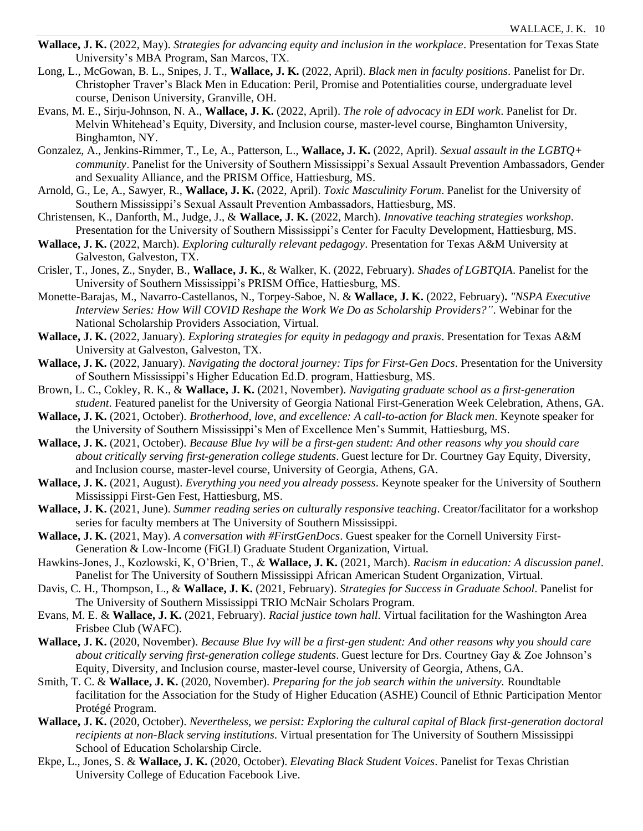- **Wallace, J. K.** (2022, May). *Strategies for advancing equity and inclusion in the workplace*. Presentation for Texas State University's MBA Program, San Marcos, TX.
- Long, L., McGowan, B. L., Snipes, J. T., **Wallace, J. K.** (2022, April). *Black men in faculty positions*. Panelist for Dr. Christopher Traver's Black Men in Education: Peril, Promise and Potentialities course, undergraduate level course, Denison University, Granville, OH.
- Evans, M. E., Sirju-Johnson, N. A., **Wallace, J. K.** (2022, April). *The role of advocacy in EDI work*. Panelist for Dr. Melvin Whitehead's Equity, Diversity, and Inclusion course, master-level course, Binghamton University, Binghamton, NY.
- Gonzalez, A., Jenkins-Rimmer, T., Le, A., Patterson, L., **Wallace, J. K.** (2022, April). *Sexual assault in the LGBTQ+ community*. Panelist for the University of Southern Mississippi's Sexual Assault Prevention Ambassadors, Gender and Sexuality Alliance, and the PRISM Office, Hattiesburg, MS.
- Arnold, G., Le, A., Sawyer, R., **Wallace, J. K.** (2022, April). *Toxic Masculinity Forum*. Panelist for the University of Southern Mississippi's Sexual Assault Prevention Ambassadors, Hattiesburg, MS.
- Christensen, K., Danforth, M., Judge, J., & **Wallace, J. K.** (2022, March). *Innovative teaching strategies workshop*. Presentation for the University of Southern Mississippi's Center for Faculty Development, Hattiesburg, MS.
- **Wallace, J. K.** (2022, March). *Exploring culturally relevant pedagogy*. Presentation for Texas A&M University at Galveston, Galveston, TX.
- Crisler, T., Jones, Z., Snyder, B., **Wallace, J. K.**, & Walker, K. (2022, February). *Shades of LGBTQIA*. Panelist for the University of Southern Mississippi's PRISM Office, Hattiesburg, MS.
- Monette-Barajas, M., Navarro-Castellanos, N., Torpey-Saboe, N. & **Wallace, J. K.** (2022, February)**.** *"NSPA Executive Interview Series: How Will COVID Reshape the Work We Do as Scholarship Providers?"*. Webinar for the National Scholarship Providers Association, Virtual.
- **Wallace, J. K.** (2022, January). *Exploring strategies for equity in pedagogy and praxis*. Presentation for Texas A&M University at Galveston, Galveston, TX.
- **Wallace, J. K.** (2022, January). *Navigating the doctoral journey: Tips for First-Gen Docs*. Presentation for the University of Southern Mississippi's Higher Education Ed.D. program, Hattiesburg, MS.
- Brown, L. C., Cokley, R. K., & **Wallace, J. K.** (2021, November). *Navigating graduate school as a first-generation student*. Featured panelist for the University of Georgia National First-Generation Week Celebration, Athens, GA.
- **Wallace, J. K.** (2021, October). *Brotherhood, love, and excellence: A call-to-action for Black men*. Keynote speaker for the University of Southern Mississippi's Men of Excellence Men's Summit, Hattiesburg, MS.
- **Wallace, J. K.** (2021, October). *Because Blue Ivy will be a first-gen student: And other reasons why you should care about critically serving first-generation college students*. Guest lecture for Dr. Courtney Gay Equity, Diversity, and Inclusion course, master-level course, University of Georgia, Athens, GA.
- **Wallace, J. K.** (2021, August). *Everything you need you already possess*. Keynote speaker for the University of Southern Mississippi First-Gen Fest, Hattiesburg, MS.
- **Wallace, J. K.** (2021, June). *Summer reading series on culturally responsive teaching*. Creator/facilitator for a workshop series for faculty members at The University of Southern Mississippi.
- **Wallace, J. K.** (2021, May). *A conversation with #FirstGenDocs*. Guest speaker for the Cornell University First-Generation & Low-Income (FiGLI) Graduate Student Organization, Virtual.
- Hawkins-Jones, J., Kozlowski, K, O'Brien, T., & **Wallace, J. K.** (2021, March). *Racism in education: A discussion panel*. Panelist for The University of Southern Mississippi African American Student Organization, Virtual.
- Davis, C. H., Thompson, L., & **Wallace, J. K.** (2021, February). *Strategies for Success in Graduate School*. Panelist for The University of Southern Mississippi TRIO McNair Scholars Program.
- Evans, M. E. & **Wallace, J. K.** (2021, February). *Racial justice town hall*. Virtual facilitation for the Washington Area Frisbee Club (WAFC).
- **Wallace, J. K.** (2020, November). *Because Blue Ivy will be a first-gen student: And other reasons why you should care about critically serving first-generation college students*. Guest lecture for Drs. Courtney Gay & Zoe Johnson's Equity, Diversity, and Inclusion course, master-level course, University of Georgia, Athens, GA.
- Smith, T. C. & **Wallace, J. K.** (2020, November). *Preparing for the job search within the university.* Roundtable facilitation for the Association for the Study of Higher Education (ASHE) Council of Ethnic Participation Mentor Protégé Program.
- **Wallace, J. K.** (2020, October). *Nevertheless, we persist: Exploring the cultural capital of Black first-generation doctoral recipients at non-Black serving institutions*. Virtual presentation for The University of Southern Mississippi School of Education Scholarship Circle.
- Ekpe, L., Jones, S. & **Wallace, J. K.** (2020, October). *Elevating Black Student Voices*. Panelist for Texas Christian University College of Education Facebook Live.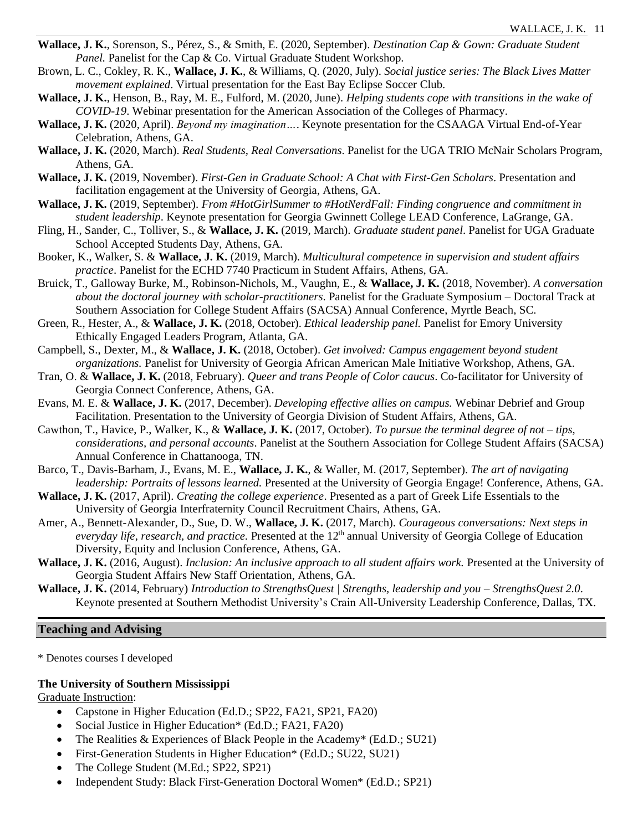- **Wallace, J. K.**, Sorenson, S., Pérez, S., & Smith, E. (2020, September). *Destination Cap & Gown: Graduate Student Panel.* Panelist for the Cap & Co. Virtual Graduate Student Workshop.
- Brown, L. C., Cokley, R. K., **Wallace, J. K.**, & Williams, Q. (2020, July). *Social justice series: The Black Lives Matter movement explained*. Virtual presentation for the East Bay Eclipse Soccer Club.
- **Wallace, J. K.**, Henson, B., Ray, M. E., Fulford, M. (2020, June). *Helping students cope with transitions in the wake of COVID-19*. Webinar presentation for the American Association of the Colleges of Pharmacy.
- **Wallace, J. K.** (2020, April). *Beyond my imagination…*. Keynote presentation for the CSAAGA Virtual End-of-Year Celebration, Athens, GA.
- **Wallace, J. K.** (2020, March). *Real Students, Real Conversations*. Panelist for the UGA TRIO McNair Scholars Program, Athens, GA.
- **Wallace, J. K.** (2019, November). *First-Gen in Graduate School: A Chat with First-Gen Scholars*. Presentation and facilitation engagement at the University of Georgia, Athens, GA.
- **Wallace, J. K.** (2019, September). *From #HotGirlSummer to #HotNerdFall: Finding congruence and commitment in student leadership*. Keynote presentation for Georgia Gwinnett College LEAD Conference, LaGrange, GA.
- Fling, H., Sander, C., Tolliver, S., & **Wallace, J. K.** (2019, March). *Graduate student panel*. Panelist for UGA Graduate School Accepted Students Day, Athens, GA.
- Booker, K., Walker, S. & **Wallace, J. K.** (2019, March). *Multicultural competence in supervision and student affairs practice*. Panelist for the ECHD 7740 Practicum in Student Affairs, Athens, GA.
- Bruick, T., Galloway Burke, M., Robinson-Nichols, M., Vaughn, E., & **Wallace, J. K.** (2018, November). *A conversation about the doctoral journey with scholar-practitioners*. Panelist for the Graduate Symposium – Doctoral Track at Southern Association for College Student Affairs (SACSA) Annual Conference, Myrtle Beach, SC.
- Green, R., Hester, A., & **Wallace, J. K.** (2018, October). *Ethical leadership panel.* Panelist for Emory University Ethically Engaged Leaders Program, Atlanta, GA.
- Campbell, S., Dexter, M., & **Wallace, J. K.** (2018, October). *Get involved: Campus engagement beyond student organizations.* Panelist for University of Georgia African American Male Initiative Workshop, Athens, GA.
- Tran, O. & **Wallace, J. K.** (2018, February). *Queer and trans People of Color caucus*. Co-facilitator for University of Georgia Connect Conference, Athens, GA.
- Evans, M. E. & **Wallace, J. K.** (2017, December). *Developing effective allies on campus.* Webinar Debrief and Group Facilitation. Presentation to the University of Georgia Division of Student Affairs, Athens, GA.
- Cawthon, T., Havice, P., Walker, K., & **Wallace, J. K.** (2017, October). *To pursue the terminal degree of not – tips, considerations, and personal accounts*. Panelist at the Southern Association for College Student Affairs (SACSA) Annual Conference in Chattanooga, TN.
- Barco, T., Davis-Barham, J., Evans, M. E., **Wallace, J. K.**, & Waller, M. (2017, September). *The art of navigating leadership: Portraits of lessons learned.* Presented at the University of Georgia Engage! Conference, Athens, GA.
- **Wallace, J. K.** (2017, April). *Creating the college experience*. Presented as a part of Greek Life Essentials to the University of Georgia Interfraternity Council Recruitment Chairs, Athens, GA.
- Amer, A., Bennett-Alexander, D., Sue, D. W., **Wallace, J. K.** (2017, March). *Courageous conversations: Next steps in everyday life, research, and practice.* Presented at the 12<sup>th</sup> annual University of Georgia College of Education Diversity, Equity and Inclusion Conference, Athens, GA.
- **Wallace, J. K.** (2016, August). *Inclusion: An inclusive approach to all student affairs work.* Presented at the University of Georgia Student Affairs New Staff Orientation, Athens, GA.
- **Wallace, J. K.** (2014, February) *Introduction to StrengthsQuest | Strengths, leadership and you – StrengthsQuest 2.0*. Keynote presented at Southern Methodist University's Crain All-University Leadership Conference, Dallas, TX.

#### **Teaching and Advising**

\* Denotes courses I developed

#### **The University of Southern Mississippi**

Graduate Instruction:

- Capstone in Higher Education (Ed.D.; SP22, FA21, SP21, FA20)
- Social Justice in Higher Education\* (Ed.D.; FA21, FA20)
- The Realities & Experiences of Black People in the Academy\* (Ed.D.; SU21)
- First-Generation Students in Higher Education\* (Ed.D.; SU22, SU21)
- The College Student (M.Ed.; SP22, SP21)
- Independent Study: Black First-Generation Doctoral Women\* (Ed.D.; SP21)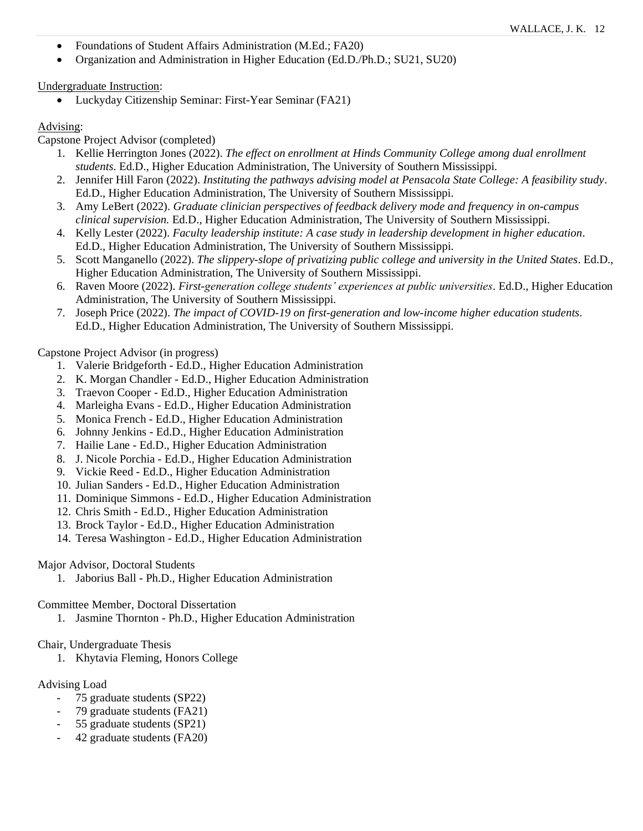- Foundations of Student Affairs Administration (M.Ed.; FA20)
- Organization and Administration in Higher Education (Ed.D./Ph.D.; SU21, SU20)

#### Undergraduate Instruction:

• Luckyday Citizenship Seminar: First-Year Seminar (FA21)

#### Advising:

Capstone Project Advisor (completed)

- 1. Kellie Herrington Jones (2022). *The effect on enrollment at Hinds Community College among dual enrollment students*. Ed.D., Higher Education Administration, The University of Southern Mississippi.
- 2. Jennifer Hill Faron (2022). *Instituting the pathways advising model at Pensacola State College: A feasibility study*. Ed.D., Higher Education Administration, The University of Southern Mississippi.
- 3. Amy LeBert (2022). *Graduate clinician perspectives of feedback delivery mode and frequency in on-campus clinical supervision.* Ed.D., Higher Education Administration, The University of Southern Mississippi.
- 4. Kelly Lester (2022). *Faculty leadership institute: A case study in leadership development in higher education*. Ed.D., Higher Education Administration, The University of Southern Mississippi.
- 5. Scott Manganello (2022). *The slippery-slope of privatizing public college and university in the United States*. Ed.D., Higher Education Administration, The University of Southern Mississippi.
- 6. Raven Moore (2022). *First-generation college students' experiences at public universities*. Ed.D., Higher Education Administration, The University of Southern Mississippi.
- 7. Joseph Price (2022). *The impact of COVID-19 on first-generation and low-income higher education students*. Ed.D., Higher Education Administration, The University of Southern Mississippi.

### Capstone Project Advisor (in progress)

- 1. Valerie Bridgeforth Ed.D., Higher Education Administration
- 2. K. Morgan Chandler Ed.D., Higher Education Administration
- 3. Traevon Cooper Ed.D., Higher Education Administration
- 4. Marleigha Evans Ed.D., Higher Education Administration
- 5. Monica French Ed.D., Higher Education Administration
- 6. Johnny Jenkins Ed.D., Higher Education Administration
- 7. Hailie Lane Ed.D., Higher Education Administration
- 8. J. Nicole Porchia Ed.D., Higher Education Administration
- 9. Vickie Reed Ed.D., Higher Education Administration
- 10. Julian Sanders Ed.D., Higher Education Administration
- 11. Dominique Simmons Ed.D., Higher Education Administration
- 12. Chris Smith Ed.D., Higher Education Administration
- 13. Brock Taylor Ed.D., Higher Education Administration
- 14. Teresa Washington Ed.D., Higher Education Administration

#### Major Advisor, Doctoral Students

1. Jaborius Ball - Ph.D., Higher Education Administration

#### Committee Member, Doctoral Dissertation

1. Jasmine Thornton - Ph.D., Higher Education Administration

#### Chair, Undergraduate Thesis

1. Khytavia Fleming, Honors College

#### Advising Load

- 75 graduate students (SP22)
- 79 graduate students (FA21)
- 55 graduate students (SP21)
- 42 graduate students (FA20)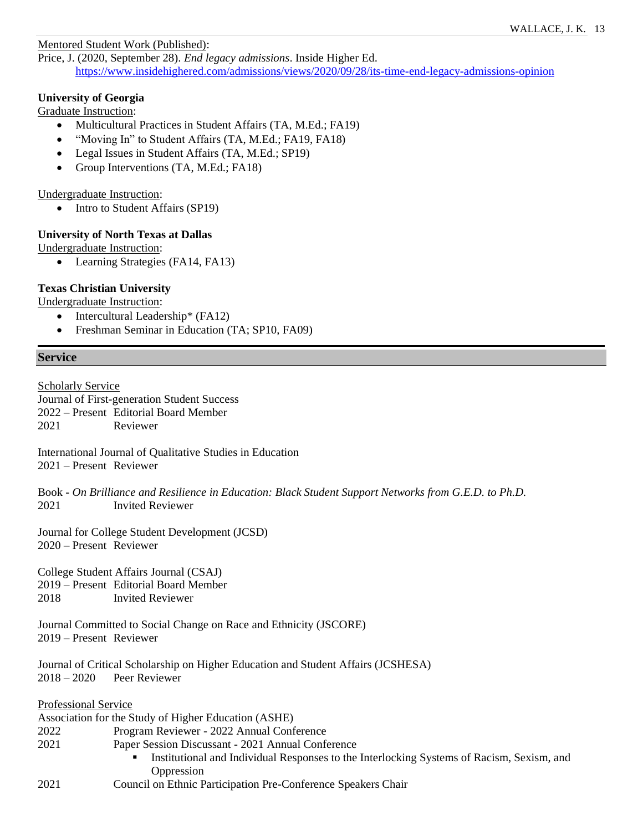#### Mentored Student Work (Published):

Price, J. (2020, September 28). *End legacy admissions*. Inside Higher Ed. <https://www.insidehighered.com/admissions/views/2020/09/28/its-time-end-legacy-admissions-opinion>

### **University of Georgia**

Graduate Instruction:

- Multicultural Practices in Student Affairs (TA, M.Ed.; FA19)
- "Moving In" to Student Affairs (TA, M.Ed.; FA19, FA18)
- Legal Issues in Student Affairs (TA, M.Ed.; SP19)
- Group Interventions (TA, M.Ed.; FA18)

#### Undergraduate Instruction:

• Intro to Student Affairs (SP19)

### **University of North Texas at Dallas**

Undergraduate Instruction:

• Learning Strategies (FA14, FA13)

### **Texas Christian University**

Undergraduate Instruction:

- Intercultural Leadership\* (FA12)
- Freshman Seminar in Education (TA; SP10, FA09)

### **Service**

**Scholarly Service** 

Journal of First-generation Student Success 2022 – Present Editorial Board Member **Reviewer** 

International Journal of Qualitative Studies in Education 2021 – Present Reviewer

Book - *On Brilliance and Resilience in Education: Black Student Support Networks from G.E.D. to Ph.D.* 2021 Invited Reviewer

Journal for College Student Development (JCSD) 2020 – Present Reviewer

College Student Affairs Journal (CSAJ) 2019 – Present Editorial Board Member 2018 Invited Reviewer

Journal Committed to Social Change on Race and Ethnicity (JSCORE) 2019 – Present Reviewer

Journal of Critical Scholarship on Higher Education and Student Affairs (JCSHESA) 2018 – 2020 Peer Reviewer

Professional Service

Association for the Study of Higher Education (ASHE)

- 2022 Program Reviewer 2022 Annual Conference
- 2021 Paper Session Discussant 2021 Annual Conference
	- Institutional and Individual Responses to the Interlocking Systems of Racism, Sexism, and **Oppression**
- 2021 Council on Ethnic Participation Pre-Conference Speakers Chair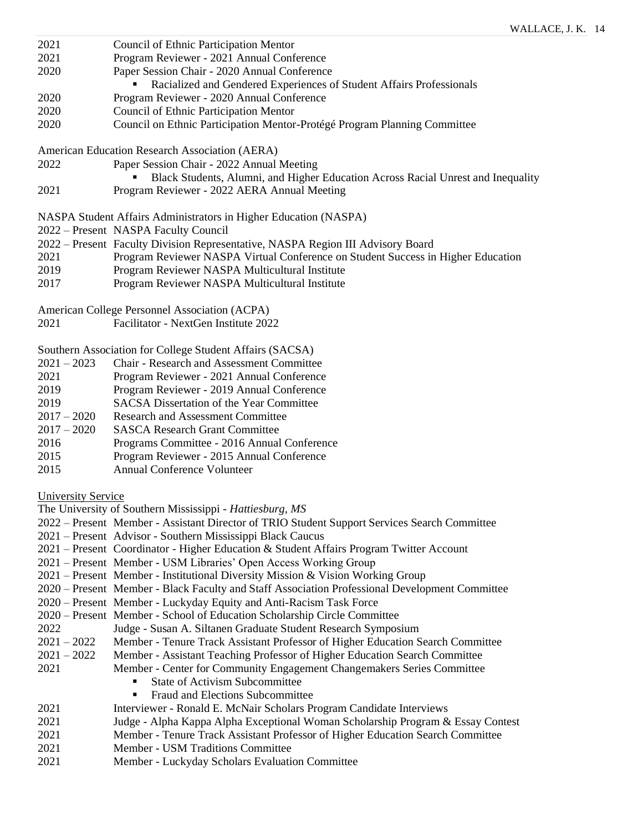- 2021 Council of Ethnic Participation Mentor
- 2021 Program Reviewer 2021 Annual Conference
- 2020 Paper Session Chair 2020 Annual Conference
	- Racialized and Gendered Experiences of Student Affairs Professionals
- 2020 Program Reviewer 2020 Annual Conference
- 2020 Council of Ethnic Participation Mentor
- 2020 Council on Ethnic Participation Mentor-Protégé Program Planning Committee
- American Education Research Association (AERA)
- 2022 Paper Session Chair 2022 Annual Meeting
	- **EXECUTE:** Black Students, Alumni, and Higher Education Across Racial Unrest and Inequality
- 2021 Program Reviewer 2022 AERA Annual Meeting
- NASPA Student Affairs Administrators in Higher Education (NASPA)
- 2022 Present NASPA Faculty Council
- 2022 Present Faculty Division Representative, NASPA Region III Advisory Board
- 2021 Program Reviewer NASPA Virtual Conference on Student Success in Higher Education
- 2019 Program Reviewer NASPA Multicultural Institute
- 2017 Program Reviewer NASPA Multicultural Institute
- American College Personnel Association (ACPA)
- 2021 Facilitator NextGen Institute 2022

Southern Association for College Student Affairs (SACSA)

- 2021 2023 Chair Research and Assessment Committee
- 2021 Program Reviewer 2021 Annual Conference
- 2019 Program Reviewer 2019 Annual Conference
- 2019 SACSA Dissertation of the Year Committee
- 2017 2020 Research and Assessment Committee
- 2017 2020 SASCA Research Grant Committee
- 2016 Programs Committee 2016 Annual Conference
- 2015 Program Reviewer 2015 Annual Conference
- 2015 Annual Conference Volunteer
- University Service
- The University of Southern Mississippi *Hattiesburg, MS*
- 2022 Present Member Assistant Director of TRIO Student Support Services Search Committee
- 2021 Present Advisor Southern Mississippi Black Caucus
- 2021 Present Coordinator Higher Education & Student Affairs Program Twitter Account
- 2021 Present Member USM Libraries' Open Access Working Group
- 2021 Present Member Institutional Diversity Mission & Vision Working Group
- 2020 Present Member Black Faculty and Staff Association Professional Development Committee
- 2020 Present Member Luckyday Equity and Anti-Racism Task Force
- 2020 Present Member School of Education Scholarship Circle Committee
- 2022 Judge Susan A. Siltanen Graduate Student Research Symposium
- 2021 2022 Member Tenure Track Assistant Professor of Higher Education Search Committee
- 2021 2022 Member Assistant Teaching Professor of Higher Education Search Committee
- 2021 Member Center for Community Engagement Changemakers Series Committee
	- **State of Activism Subcommittee**
	- Fraud and Elections Subcommittee
- 2021 Interviewer Ronald E. McNair Scholars Program Candidate Interviews
- 2021 Judge Alpha Kappa Alpha Exceptional Woman Scholarship Program & Essay Contest
- 2021 Member Tenure Track Assistant Professor of Higher Education Search Committee
- 2021 Member USM Traditions Committee
- 2021 Member Luckyday Scholars Evaluation Committee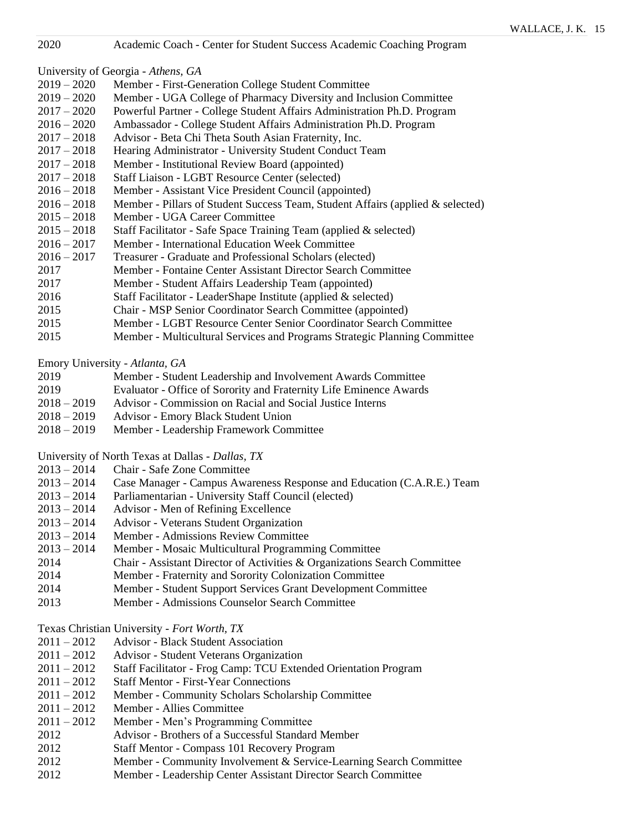2020 Academic Coach - Center for Student Success Academic Coaching Program

University of Georgia - *Athens, GA*

- 2019 2020 Member First-Generation College Student Committee
- 2019 2020 Member UGA College of Pharmacy Diversity and Inclusion Committee
- 2017 2020 Powerful Partner College Student Affairs Administration Ph.D. Program
- 2016 2020 Ambassador College Student Affairs Administration Ph.D. Program
- 2017 2018 Advisor Beta Chi Theta South Asian Fraternity, Inc.
- 2017 2018 Hearing Administrator University Student Conduct Team
- 2017 2018 Member Institutional Review Board (appointed)
- 2017 2018 Staff Liaison LGBT Resource Center (selected)
- 2016 2018 Member Assistant Vice President Council (appointed)
- 2016 2018 Member Pillars of Student Success Team, Student Affairs (applied & selected)
- 2015 2018 Member UGA Career Committee
- $2015 2018$  Staff Facilitator Safe Space Training Team (applied & selected)
- 2016 2017 Member International Education Week Committee
- 2016 2017 Treasurer Graduate and Professional Scholars (elected)
- 2017 Member Fontaine Center Assistant Director Search Committee
- 2017 Member Student Affairs Leadership Team (appointed)
- 2016 Staff Facilitator LeaderShape Institute (applied & selected)
- 2015 Chair MSP Senior Coordinator Search Committee (appointed)
- 2015 Member LGBT Resource Center Senior Coordinator Search Committee
- 2015 Member Multicultural Services and Programs Strategic Planning Committee

Emory University - *Atlanta, GA*

- 2019 Member Student Leadership and Involvement Awards Committee
- 2019 Evaluator Office of Sorority and Fraternity Life Eminence Awards
- 2018 2019 Advisor Commission on Racial and Social Justice Interns
- 2018 2019 Advisor Emory Black Student Union
- 2018 2019 Member Leadership Framework Committee

University of North Texas at Dallas - *Dallas, TX*

- 2013 2014 Chair Safe Zone Committee
- 2013 2014 Case Manager Campus Awareness Response and Education (C.A.R.E.) Team
- 2013 2014 Parliamentarian University Staff Council (elected)
- 2013 2014 Advisor Men of Refining Excellence
- 2013 2014 Advisor Veterans Student Organization
- 2013 2014 Member Admissions Review Committee
- 2013 2014 Member Mosaic Multicultural Programming Committee
- 2014 Chair Assistant Director of Activities & Organizations Search Committee
- 2014 Member Fraternity and Sorority Colonization Committee
- 2014 Member Student Support Services Grant Development Committee
- 2013 Member Admissions Counselor Search Committee

#### Texas Christian University - *Fort Worth, TX*

- 2011 2012 Advisor Black Student Association
- 2011 2012 Advisor Student Veterans Organization
- 2011 2012 Staff Facilitator Frog Camp: TCU Extended Orientation Program
- 2011 2012 Staff Mentor First-Year Connections
- 2011 2012 Member Community Scholars Scholarship Committee
- 2011 2012 Member Allies Committee
- 2011 2012 Member Men's Programming Committee
- 2012 Advisor Brothers of a Successful Standard Member
- 2012 Staff Mentor Compass 101 Recovery Program
- 2012 Member Community Involvement & Service-Learning Search Committee
- 2012 Member Leadership Center Assistant Director Search Committee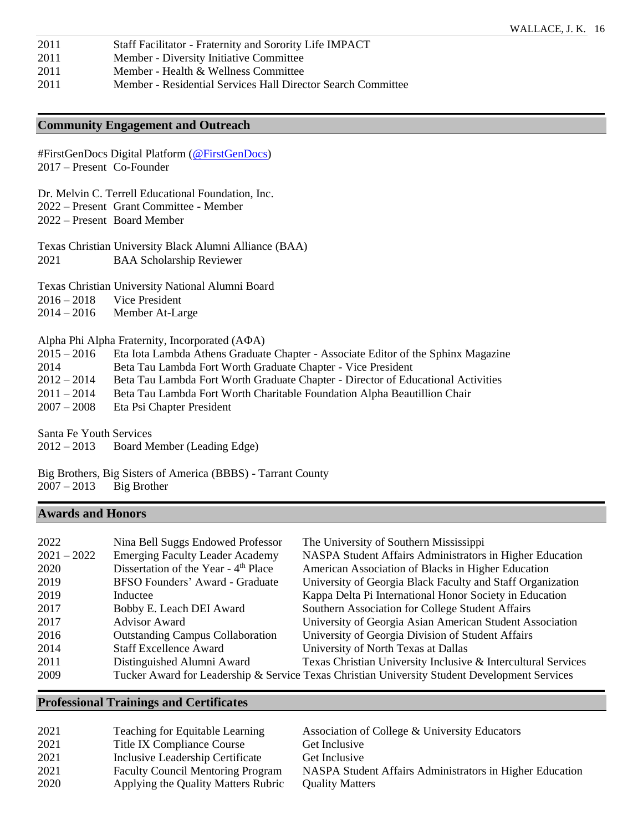- 2011 Staff Facilitator Fraternity and Sorority Life IMPACT
- 2011 Member Diversity Initiative Committee
- 2011 Member Health & Wellness Committee
- 2011 Member Residential Services Hall Director Search Committee

# **Community Engagement and Outreach**

#FirstGenDocs Digital Platform [\(@FirstGenDocs\)](https://twitter.com/firstgendocs) 2017 – Present Co-Founder

Dr. Melvin C. Terrell Educational Foundation, Inc. 2022 – Present Grant Committee - Member

2022 – Present Board Member

Texas Christian University Black Alumni Alliance (BAA) 2021 BAA Scholarship Reviewer

Texas Christian University National Alumni Board

- 2016 2018 Vice President
- 2014 2016 Member At-Large

Alpha Phi Alpha Fraternity, Incorporated (A $\Phi$ A)

- 2015 2016 Eta Iota Lambda Athens Graduate Chapter Associate Editor of the Sphinx Magazine
- 2014 Beta Tau Lambda Fort Worth Graduate Chapter Vice President
- 2012 2014 Beta Tau Lambda Fort Worth Graduate Chapter Director of Educational Activities
- 2011 2014 Beta Tau Lambda Fort Worth Charitable Foundation Alpha Beautillion Chair
- 2007 2008 Eta Psi Chapter President

Santa Fe Youth Services 2012 – 2013 Board Member (Leading Edge)

Big Brothers, Big Sisters of America (BBBS) - Tarrant County  $2007 - 2013$  Big Brother

### **Awards and Honors**

| 2022          | Nina Bell Suggs Endowed Professor                | The University of Southern Mississippi                                                        |
|---------------|--------------------------------------------------|-----------------------------------------------------------------------------------------------|
| $2021 - 2022$ | <b>Emerging Faculty Leader Academy</b>           | NASPA Student Affairs Administrators in Higher Education                                      |
| 2020          | Dissertation of the Year - 4 <sup>th</sup> Place | American Association of Blacks in Higher Education                                            |
| 2019          | BFSO Founders' Award - Graduate                  | University of Georgia Black Faculty and Staff Organization                                    |
| 2019          | Inductee                                         | Kappa Delta Pi International Honor Society in Education                                       |
| 2017          | Bobby E. Leach DEI Award                         | Southern Association for College Student Affairs                                              |
| 2017          | <b>Advisor Award</b>                             | University of Georgia Asian American Student Association                                      |
| 2016          | <b>Outstanding Campus Collaboration</b>          | University of Georgia Division of Student Affairs                                             |
| 2014          | <b>Staff Excellence Award</b>                    | University of North Texas at Dallas                                                           |
| 2011          | Distinguished Alumni Award                       | Texas Christian University Inclusive & Intercultural Services                                 |
| 2009          |                                                  | Tucker Award for Leadership & Service Texas Christian University Student Development Services |

#### **Professional Trainings and Certificates**

| 2021 | Teaching for Equitable Learning          | Association of College & University Educators            |
|------|------------------------------------------|----------------------------------------------------------|
| 2021 | Title IX Compliance Course               | Get Inclusive                                            |
| 2021 | Inclusive Leadership Certificate         | Get Inclusive                                            |
| 2021 | <b>Faculty Council Mentoring Program</b> | NASPA Student Affairs Administrators in Higher Education |
| 2020 | Applying the Quality Matters Rubric      | <b>Quality Matters</b>                                   |